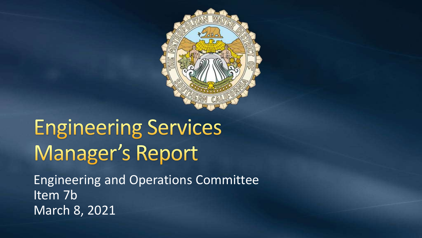

# **Engineering Services** Manager's Report

Engineering and Operations Committee Item 7b March 8, 2021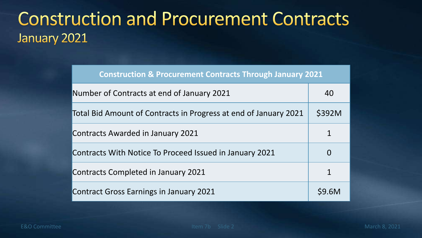#### **Construction and Procurement Contracts** January 2021

| <b>Construction &amp; Procurement Contracts Through January 2021</b> |        |
|----------------------------------------------------------------------|--------|
| Number of Contracts at end of January 2021                           | 40     |
| Total Bid Amount of Contracts in Progress at end of January 2021     | \$392M |
| <b>Contracts Awarded in January 2021</b>                             |        |
| Contracts With Notice To Proceed Issued in January 2021              | O      |
| Contracts Completed in January 2021                                  |        |
| <b>Contract Gross Earnings in January 2021</b>                       | \$9.6M |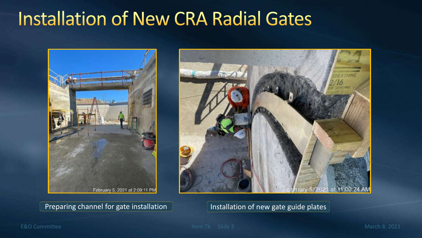### **Installation of New CRA Radial Gates**



Preparing channel for gate installation **Installation Installation of new gate guide plates** 



E&O Committee **Item 7b** Slide 3 March 8, 2021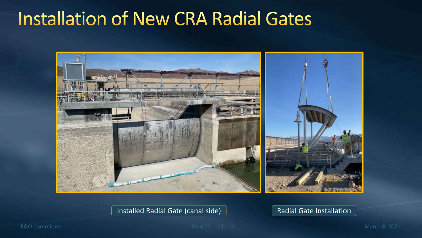### **Installation of New CRA Radial Gates**



#### Installed Radial Gate (canal side) Radial Gate Installation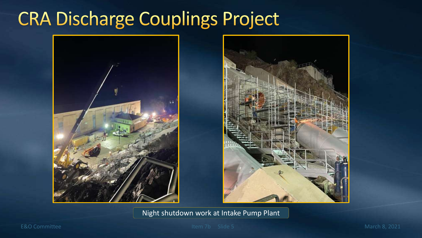### **CRA Discharge Couplings Project**



Night shutdown work at Intake Pump Plant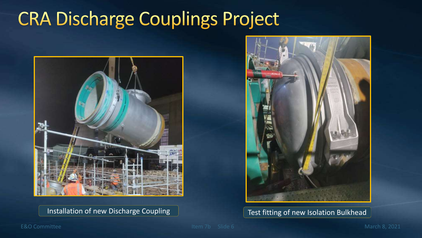### **CRA Discharge Couplings Project**





Installation of new Discharge Coupling Test fitting of new Isolation Bulkhead

#### E&O Committee **Item 7b** Slide 6 March 8, 2021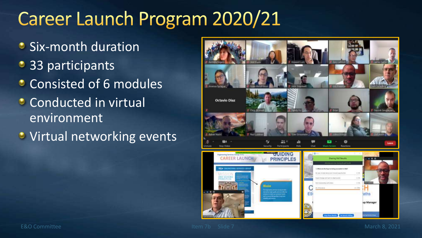## Career Launch Program 2020/21

- Six-month duration
- 33 participants
- **Consisted of 6 modules**
- **Conducted in virtual** environment
- **•** Virtual networking events

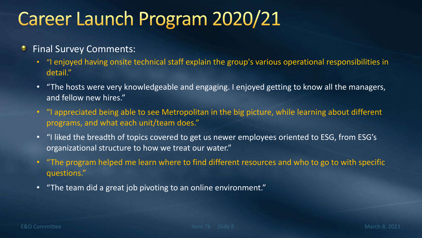## Career Launch Program 2020/21

- $\bullet$ Final Survey Comments:
	- "I enjoyed having onsite technical staff explain the group's various operational responsibilities in detail."
	- "The hosts were very knowledgeable and engaging. I enjoyed getting to know all the managers, and fellow new hires."
	- "I appreciated being able to see Metropolitan in the big picture, while learning about different programs, and what each unit/team does."
	- "I liked the breadth of topics covered to get us newer employees oriented to ESG, from ESG's organizational structure to how we treat our water."
	- "The program helped me learn where to find different resources and who to go to with specific questions."
	- "The team did a great job pivoting to an online environment."